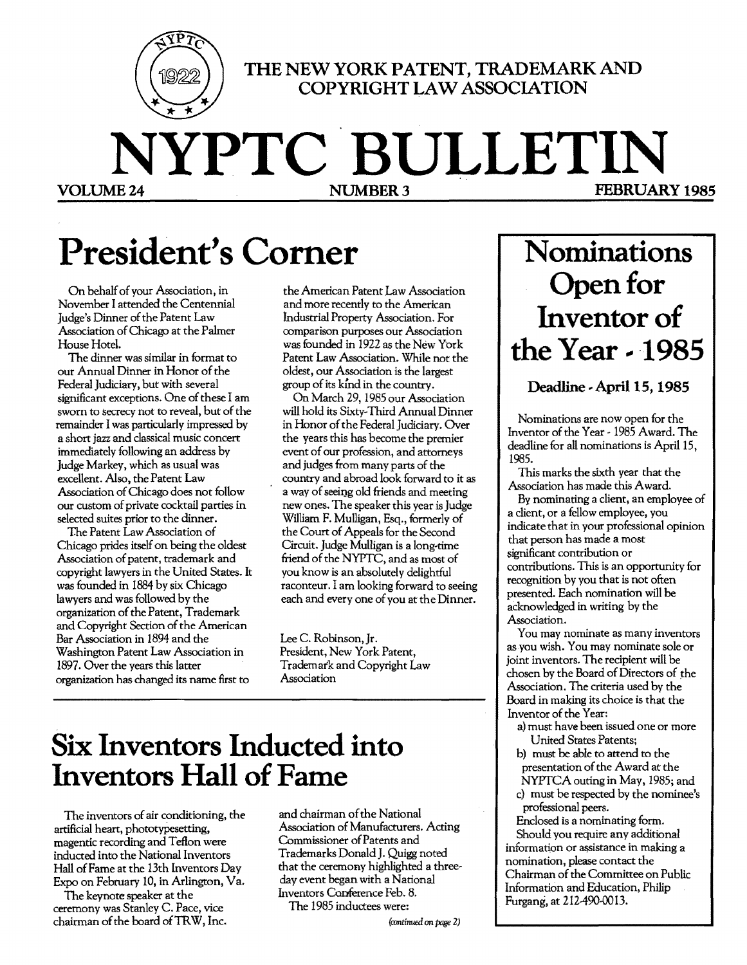

THE NEW YORK PATENT, TRADEMARK AND **COPYRIGHT LAW ASSOCIATION** 

**NYPTC BULLETIN FEBRUARY 1985** 

# **President's Comer**

On behalf of your Association, in November I attended the Centennial Judge's Dinner of the Patent Law Association ofChicago at the Palmer House Hotel.

The dinner was similar in format to our Annual Dinner in Honor of the Federal judiciary, but with several significant exceptions. One of these I am sworn to secrecy not to reveal, but of the remainder I was particularly impressed by a short jazz and classical music concert immediately following an address by judge Markey, which as usual was excellent. Also, the Patent Law Association of Chicago does not follow our custom of private cocktail parties in selected suites prior to the dinner.

The Patent Law Association of Chicago prides itself on being the oldest Association of patent, trademark and copyright lawyers in the United States. It was founded in 1884 by six Chicago lawyers and was followed by the organization of the Patent, Trademark and Copyright Section of the American Bar Association in 1894 and the Washington Patent Law Association in 1897. Over the years this latter organization has changed its name first to

the American Patent Law Association and more recently to the American Industrial Property Association. For comparison purposes our Association was founded in 1922 as the New York Patent Law Association. While not the oldest, our Association is the largest group of its kind in the country.

On March 29, 1985 our Association will hold its Sixty~Third Annual Dinner in Honor of the Federal Judiciary. Over the years this has become the premier event of our profession, and attorneys and judges from many parts of the country and abroad look forward to it as a way of seeing old friends and meeting new ones. The speaker this year is judge William F. Mulligan, Esq., formerly of the Court of Appeals for the Second Circuit. Judge Mulligan is a long-time friend of the NYPTC, and as most of you know is an absolutely delightful raconteur. I am looking forward to seeing each and every one of you at the Dinner.

Lee C. Robinson, jr. President, New York Patent, Trademark and Copyright Law Association

# **Six Inventors Inducted into Inventors Hall of Fame**

The inventors of air conditioning, the artificial heart, phototypesetting, magentic recording and Teflon were inducted into the National Inventors Hall ofFame at the 13th Inventors Day Expo on February 10, in Arlington, Va.

The keynote speaker at the ceremony was Stanley C. Pace, vice chairman of the board of TRW, Inc.

and chairman of the National Association of Manufacturers. Acting Commissioner ofPatents and Trademarks Donald J. Quigg noted that the ceremony highlighted a three~ day event began with a National Inventors Conference Feb. 8.

The 1985 inductees were:

*(continued an page* Z)

# **Nominations**  Open for Inventor of **the Year -- ·1985**

**Deadline** .. April 15, **1985** 

Nominations are now open for the Inventor of the Year - 1985 Award. The deadline for all nominations is April 15, 1985.

This marks the sixth year that the Association has made this Award.

By nominating a client, an employee of a client, or a fellow employee, you indicate that in your professional opinion that person has made a most significant contribution or contributions. This is an opportunity for recognition by you that is not often presented. Each nomination will be acknowledged in writing by the Association.

You may nominate as many inventors as you wish. You may nominate sole or joint inventors. The recipient will be chosen by the Board of Directors of the Association. The criteria used by the Board in making its choice is that the Inventor of the Year:

- a) must have been issued one or more United States Patents;
- b) must be able to attend to the presentation of the Award at the NYPTCA outing in May, 1985; and
- c) must be respected by the nominee's professional peers.

Enclosed is a nominating form. Should you require any additional information or assistance in making a nomination, please contact the Chairman of the Committee on Public Information and Education, Philip Furgang, at 212490-0013.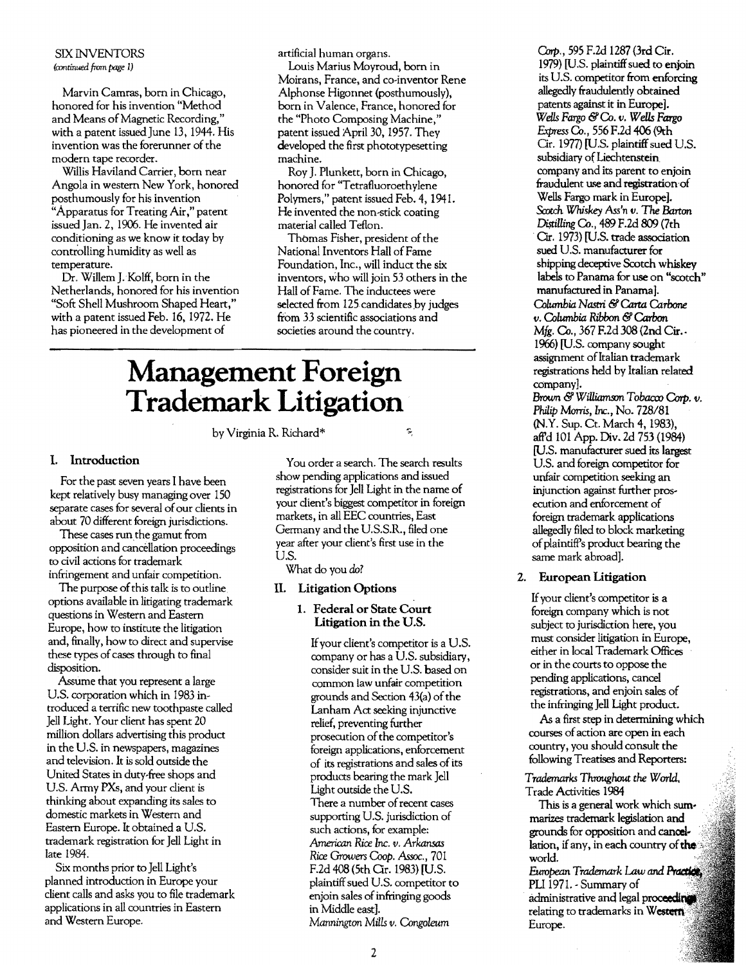#### SIX INVENTORS *(rontinued* from *page* 1)

Marvin Camras, born in Chicago, honored for his invention "Method and Means of Magnetic Recording," with a patent issued June 13, 1944. His invention was the forerunner of the modem tape recorder.

Willis Haviland Carrier, born near Angola in western New York, honored posthumously for his invention "Apparatus for Treating Air," patent issued Jan. 2, 1906. He invented air conditioning as we know it today by controlling humidity as well as temperature.

Dr. Willem J.Kolff, born in the Netherlands, honored for his invention "Soft Shell Mushroom Shaped Heart," with a patent issued Feb. 16, 1972. He has pioneered in the development of

artificial human organs.

louis Marius Moyroud, born in Moirans, France, and co-inventor Rene Alphonse Higonnet (posthumously), born in Valence, France, honored for the "Photo Composing Machine," patent issued April 30, 1957. They developed the first phototypesetting machine.

Roy J. Plunkett, born in Chicago, honored for "Tetrafluoroethylene Polymers," patent issued Feb. 4, 1941. He invented the non-stick coating material called Teflon.

Thomas Fisher, president of the National Inventors Hall of Fame Foundation, Inc., will induct the six inventors, who will join 53 others in the Hall of Fame. The inductees were selected from 125 candidates by judges from 33 scientific associations and societies around the country.

# **Management Foreign Trademark Litigation**

by Virginia R. Richard\*

#### I. Introduction

For the past seven years I have been kept relatively busy managing over 150 separate cases for several of our clients in about 70 different foreign jurisdictions.

These cases run the gamut from opposition and cancellation proceedings to civil actions for trademark infringement and unfair competition.

The purpose of this talk is to outline options available in litigating trademark questions in Western and Eastern Europe, how to institute the litigation and, finally, how to direct and supervise these types of cases through to final disposition.

Assume that you represent a large US. corporation which in 1983 introduced a terrific new toothpaste called Jell Light. Your client has spent 20 million dollars advertising this product in the U.S. in newspapers, magazines and television. It is sold outside the United States in duty-free shops and U.S. Army PXs, and your client is thinking about expanding its sales to domestic markets in Western and Eastern Europe. It obtained a US. trademark registration for Jell Light in late 1984.

Six months prior to Jell Light's planned introduction in Europe your client calls and asks you to file trademark applications in all countries in Eastern and Western Europe.

You order a search. The search results show pending applications and issued registrations for Jell Light in the name of your client's biggest competitor in foreign markets, in all EEC countries, East Germany and the US.S.R., filed one year after your client's first use in the U.S.

What do you do?

#### II. Litigation Options

#### 1. Federal or State Court Litigation in the U.S.

Ifyour client's competitor is a U.S. company or has a U.S. subsidiary, consider suit in the U.S. based on common law unfair competition grounds and Section 43(a) of the Lanham Act seeking injunctive relief, preventing further prosecution of the competitor's foreign applications, enforcement of its registrations and sales of its products bearing the mark Jell Light outside the US. There a number of recent cases supporting U.S. jurisdiction of such actions, for example: *American Rice Inc. v. Arkansas Rice Growers* Coop. *Assoc., 701*  F.2d 408 (5th Qr. 1983) [U.S. plaintiff sued US. competitor to enjoin sales of infringing goods in Middle east]. *Mannington Mills v. Congoleum* 

*Cmp.,* 595 F.2d 1287 (3rd Cir. 1979) [U.S. plaintiff sued to enjoin its U.S. competitor from enforcing allegedly fraudulently obtained patents against it in Europe]. *Wells Fargo* &OJ. *v. Wells* Fargo Express Co., 556 F.2d 406 (9th Cir. 1977) [U.S. plaintiff sued U.S. subsidiary of Liechtenstein company and its parent to enjoin fraudulent use and registration of Wells Fargo mark in Europe]. *Scotch Whiskey Ass'n v. The* Barton Distilling Co., 489 F.2d 809 (7th . Cir. 1973) [U.S. trade association sued U.S. manufacturer for shipping deceptive Scotch whiskey labels to Panama for use on "scotch" manufactured in Panama]. *Columbia* Nastri &Carta *Carbone v. OJl:umbia Ribbon* &Carbon *Mfg. Co., 367 F.2d 308 (2nd Cir.* 1966) [U.S. company sought assignment of Italian trademark registrations held by Italian related company]. Brown & Williamson Tobacco Corp. v. *Philip* Morris, *loc.,* No. 728/81 (N.Y. Sup. Ct. March 4, 1983),

aff'd 101 App. Div. 2d 753 (1984) [U.S. manufacturer sued its largest U.S. and foreign competitor for unfair competition seeking an injunction against further prosecution and enforcement of foreign trademark applications allegedly filed to block marketing of plaintiff's product bearing the same mark abroad].

### 2. European Litigation

Ifyour client's competitor is a foreign company which is not subject to jurisdiction here, you must consider litigation in Europe, either in local Trademark Offices or in the courts to oppose the pending applications, cancel registrations, and enjoin sales of the infringing Jell Light product.

As a first step in determining which courses of action are open in each country, you should consult the following Treatises and Reporters:

*Trademarks* Throughout *the World.* Trade Activities 1984

This is a general work which sum marizes trademark legislation and grounds for opposition and cancellation, if any, in each country  $\epsilon$ world.

European *Trademark* Law and PLI 1971. - Summary of administrative and legal proc**eeding** relating to trademarks in Western

Europe.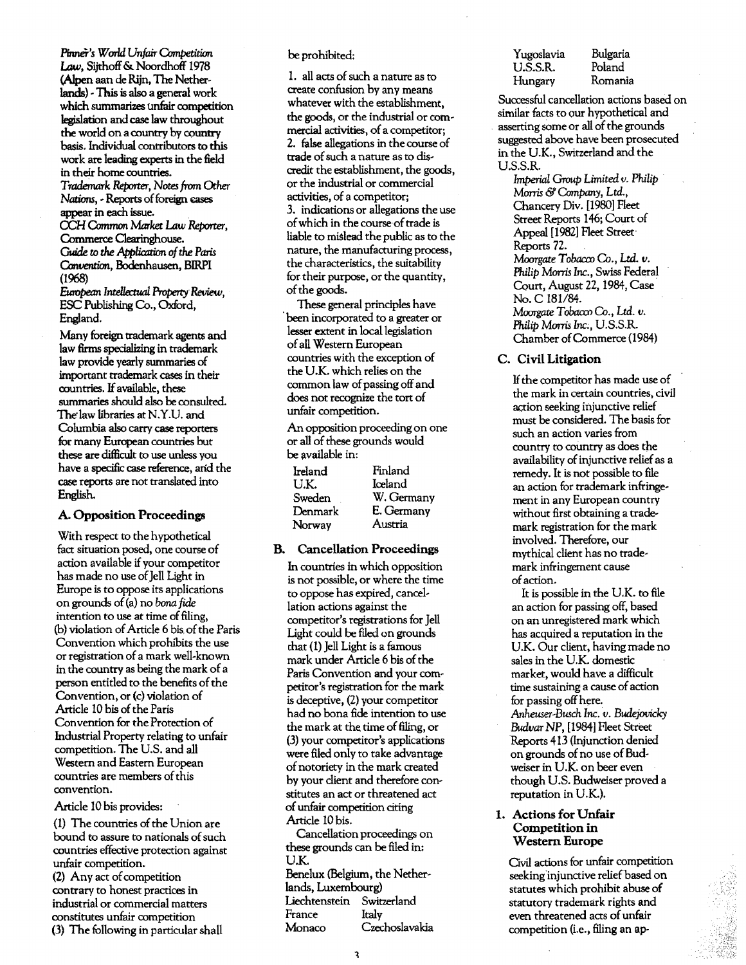Pinner's World Unfair Competition Law, Sijthoff& Noordhoff 1978 (Alpen aan de Rijn, The Netherlands) - This is also a general work which summarizes unfair competition legislation andcase law throughout the world on a country by country basis. Individual contributors to this work are leading experts in the field in their home countries. *Trademark Reporter,* Notes from *Other Nations, - Reports of foreign cases* appear in each issue. CCH Common *Market* Law Reporter, Commerce Clearinghouse. Guide to the *Application* of the *Paris Convention,* Bodenhausen, BIRPI

(1968) *European Intelktual Property Review,*  ESC Publishing Co., Oxford, England.

Many foreign trademark agents and law firms specializing in trademark law provide yearly summaries of important trademark cases in their countries. If available, these summaries should also be consulted. The law libraries at N.Y.U. and Columbia also carry case reporters for many European countries but these are difficult to use unless you have a specific case reference, arid the case reports are not translated into English.

#### A. Opposition Proceedings

With respect to the hypothetical fact situation posed, one course of action available if your competitor has made no use of Jell Light in Europe is to oppose its applications on grounds of(a) no *bona* fide intention to use at time of filing, (b) violation of Article 6 bis of the Paris Convention which prohibits the use or registration of a mark well-known in the country as being the mark of a person entitled to the benefits of the Convention, or (c) violation of Article 10 bis of the Paris Convention for the Protection of Industrial Property relating to unfair competition. The U.S. and all Western and Eastern European countries are members of this convention.

#### Article 10 bis provides:

(1) The countries of the Union are bound to assure to nationals of such countries effective protection against unfair competition.

(2) Any act of competition contrary to honest practices in industrial or commercial matters constitutes unfair competition (3) The following in particular shall

#### be prohibited:

1. all acts of such a nature as to create confusion by any means whatever with the establishment, the goods, or the industrial or commercial activities, of a competitor; 2. false allegations in the course of trade of such a nature as to discredit the establishment, the goods, or the industrial or commercial activities, of a competitor; 3. indications or allegations the use of which in the course of trade is liable to mislead the public as to the nature, the manufacturing process, the characteristics, the suitability for their purpose, or the quantity, ofthe goods.

These general principles have been incorporated to a greater or lesser extent in local legislation ofall Western European countries with the exception of the UK. which relies on the common law of passing off and does not recognize the tort of unfair competition.

An opposition proceeding on one or all of these grounds would be available in:

| Ireland | Finland    |
|---------|------------|
| U.K.    | Iceland    |
| Sweden  | W. Germany |
| Denmark | E. Germany |
| Norway  | Austria    |

### B. Cancellation Proceedings

In countries in which opposition is not possible, or where the time to oppose has expired, cancellation actions against the competitor's registrations for Jell light could be filed on grounds chat (1) Jell Light is a famous mark under Article 6 bis of the Paris Convention and your competitor's registration for the mark is deceptive, (2) your competitor had no bona fide intention to use the mark at the time of filing, or (3) your competitor's applications were filed only to take advantage ofnotoriety in the mark created by your client and therefore constitutes an act or threatened act ofunfair competition citing Article 10 bis.

Cancellation proceedings on these grounds can be filed in: U.K. Benelux (Belgium, the Nether~

lands, Luxembourg) Liechtenstein Switzerland France Italy Monaco Czechoslavakia

| Yugoslavia | Bulgaria |
|------------|----------|
| U.S.S.R.   | Poland   |
| Hungary    | Romania  |

Successful cancellation actions based on similar facts to our hypothetical and asserting some or all of the grounds suggested above have been prosecuted in the U.K., Switzerland and the U.S.S.R.

*Imperial Group Limited v. Philip*  Morris & Company, Ltd., Chancery Div. [1980] Fleet Street Reports 146; Court of Appeal [1982] Fleet Street' Reports *n. Moorgate* Tobacco Co., Ltd. *v.* Philip Manis *Inc.,* Swiss Federal Court, August 22,1984, Case No. C 181/84. Moorgate Tobacco Co., Ltd. **v**. *Philip Morris Inc., U.S.S.R.* Chamber of Commerce (1984)

#### C. Civil Litigation

If the competitor has made use of the mark in certain countries, civil action seeking injunctive relief must be considered. The basis for such an action varies from country ro country as does the availability of injunctive relief as a remedy. It is not possible to file an action for trademark infringement in any European country without first obtaining a trademark registration for the mark involved. Therefore, our mythical client has no trademark infringement cause ofaction.

It is possible in the UK. to file an action for passing off, based on an unregistered mark which has acquired a reputation in the UK. Our client, having made no sales in the U.K. domestic market, would have a difficult time sustaining a cause of action for passing off here. *Anheuser*~Busch *Inc. v. 'Budejovicky Budvar* NP, [1984] Fleet Street Reports 413 (Injunction denied on grounds of no use of Budweiser in U.K. on beer even though U.S. Budweiser proved a reputation in U.K.).

#### 1. Actions for Unfair Competition in Western Europe

Ovil actions for unfair competition seeking injunctive relief based on statutes which prohibit abuse of statutory trademark rights and even threatened acts of unfair competition (i.e., filing an ap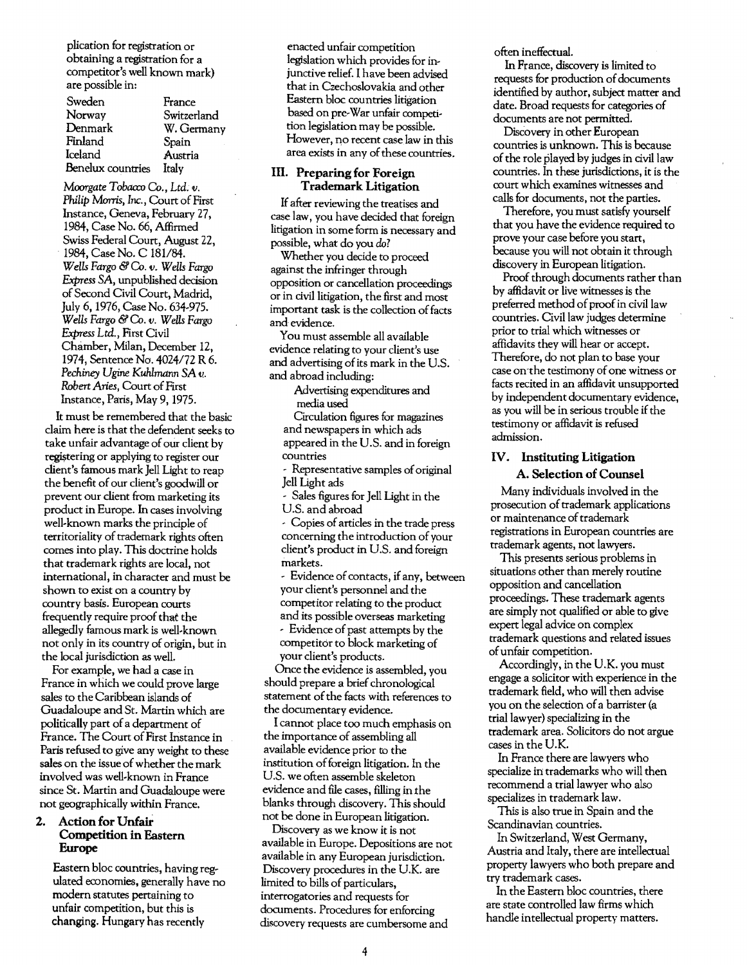plication for registration or obtaining a registration for a competitor's well known mark) are possible in:

| Sweden            | France      |
|-------------------|-------------|
| Norway            | Switzerland |
| Denmark           | W. Germany  |
| Finland           | Spain       |
| Iceland           | Austria     |
| Benelux countries | Italy       |

*Moorgate Tobacco* Co., *Ltd. v. Philip* Morris, *Inc.,* Court of First Instance, Geneva, February 27, 1984, Case No. 66, Affirmed Swiss Federal Court, August 22, 1984, Case No. C 181/84. *Wells Fargo* & Co. v. *Wells Fargo Express SA,* unpublished decision of Second Civil Court, Madrid, July 6,1976, Case No. 634-975. *Wells Fargo* & Co. *v. Wells Fargo*  Express Ltd., First Civil Chamber, Milan, December 12, 1974, Sentence No. *4024/72* R 6. *Pechiney Ugine Kuhlmann SA v. Robert Aries, Court of First* Instance, Paris, May 9, 1975.

It must be remembered that the basic claim here is that the defendent seeks to take unfair advantage of our client by registering or applying to register our client's famous mark Jell Light to reap the benefit of our client's goodwill or prevent our client from marketing its product in Europe. In cases involving well-known marks the principle of territoriality of trademark rights often comes into play. This doctrine holds that trademark rights are local, not international, in character and must be shown to exist on a country by country basis. European courts frequently require proof that the allegedly famous mark is well-known not only in its country of origin, but in the local jurisdiction as well.

For example, we had a case in France in which we could prove large sales to the Caribbean islands of Guadaloupe and St. Martin which are politically part of a department of France. The Court of First Instance in Paris refused to give any weight to these sales on the issue of whether the mark involved was well-known in France since St. Martin and Guadaloupe were not geographically within France.

#### 2. Action for Unfair Competition in Eastem Europe

Eastern bloc countries, having regulated economies, generally have no modem statutes pertaining to unfair competition, but this is changing. Hungary has recently

enacted unfair competition legislation which provides for injunctive relief. I have been advised that in Czechoslovakia and other Eastern bloc countries litigation based on pre-War unfair competition legislation may be possible. However, no recent case law in this area exists in any of these countries.

#### III. Preparing for Foreign Trademark Litigation

Ifafter reviewing the treatises and case law, you have decided that foreign litigation in some form is necessary and possible, what do you *do?* 

Whether you decide to proceed against the infringer through opposition or cancellation proceedings or in civil litigation, the first and most important task is the collection of facts and evidence.

You must assemble all available evidence relating to your client's use and advertising of its mark in the U.S. and abroad including:

> Advertising expenditures and media used

Circulation figures for magazines and newspapers in which ads appeared in the U.S. and in foreign countries

- Representative samples of original Jell Light ads

- Sales figures for Jell Light in the U.S. and abroad

- Copies ofarticles in the trade press concerning the introduction of your client's product in U.S. and foreign markets.

- Evidence of contacts, if any, between your client's personnel and the competitor relating to the product and its possible overseas marketing

- Evidence of past attempts by the competitor to block marketing of your client's products.

Once the evidence is assembled, you should prepare a brief chronological statement of the facts with references to the documentary evidence.

I cannot place too much emphasis on the importance of assembling all available evidence prior to the institution offoreign litigation. In the U.S. we often assemble skeleton evidence and file cases, filling in the blanks through discovery. This should not be done in European litigation.

Discovery as we know it is not available in Europe. Depositions are not available in any European jurisdiction. Discovery procedures in the U.K. are limited to bills of particulars, interrogatories and requests for documents. Procedures for enforcing discovery requests are cumbersome and

often ineffectual.

In France, discovery is limited to requests for production of documents identified by author, subject matrer and date. Broad requests for categories of documents are not permitted.

Discovery in other European countries is unknown. This is because of the role played by judges in civil law countries. In these jurisdictions, it is the court which examines witnesses and calls for documents, not the parties.

Therefore, you must satisfy yourself that you have the evidence required to prove your case before you start, because you will not obtain it through discovery in European litigation.

Proof through documents rather than by affidavit or live witnesses is the preferred method of proof in civil law countries. Civil law judges determine prior to trial which witnesses or affidavits they will hear or accept. Therefore, do not plan to base your case on the testimony of one witness or facts recited in an affidavit unsupported by independent documentary evidence, as you will be in serious trouble if the testimony or affidavit is refused admission.

### IV. Instituting Litigation

A. Selection of Counsel

Many individuals involved in the prosecution of trademark applications or maintenance of trademark registrations in European countries are trademark agents, not lawyers.

This presents serious problems in situations other than merely routine opposition and cancellation proceedings. These trademark agents are simply not qualified or able to give expert legal advice on complex trademark questions and related issues ofunfair competition.

Accordingly, in the U.K. *you* must engage a solicitor with experience in the trademark field, who will then advise you on the selection of a barrister (a trial lawyer) specializing in the trademark area. Solicitors do not argue cases in the U.K.

In France there are lawyers who specialize in trademarks who will then recommend a trial lawyer who also specializes in trademark law.

This is also true in Spain and the Scandinavian countries.

In Switzerland, West Germany, Austria and Italy, there are intellectual property lawyers who both prepare and try trademark cases.

In the Eastern bloc countries, there are state controlled law firms which handle intellectual property matters.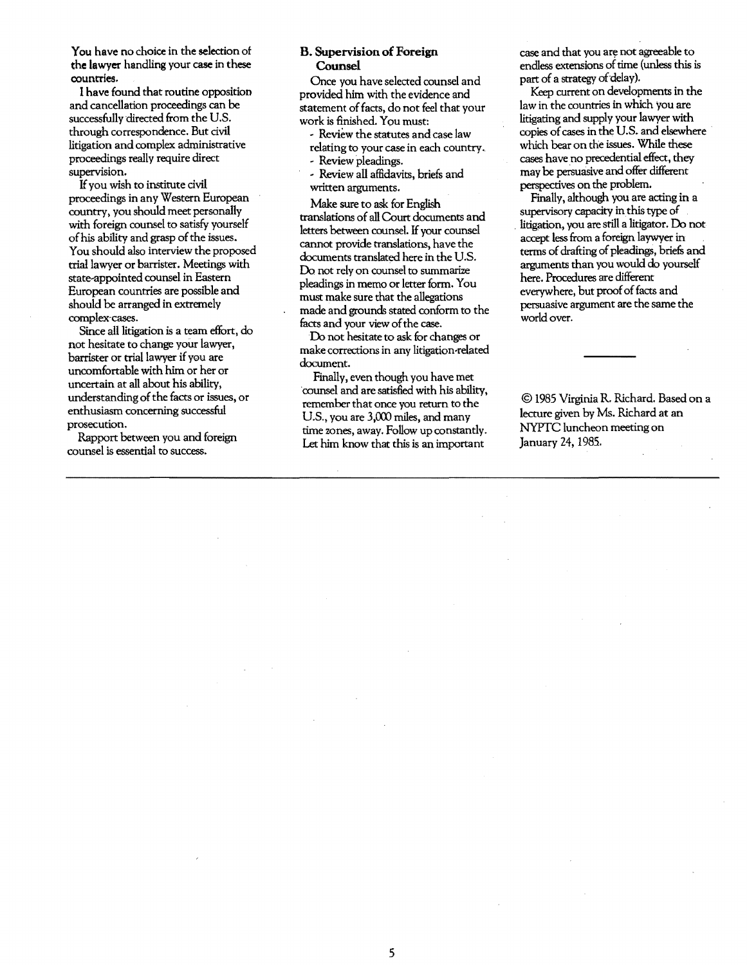You have no choice in the selection of the lawyer handling your case in these countries.

I have found that routine opposition and cancellation proceedings can be successfully directed from the U.S. through correspondence. But civil litigation and complex administrative proceedings really require direct supervision.

Ifyou wish to institute civil proceedings in any Western European country, you should meet personally with foreign counsel to satisfy yourself of his ability and grasp of the issues. You should also interview the proposed trial lawyer or barrister. Meetings with state-appointed counsel in Eastern European countries are possible and should be arranged in extremely complex-cases.

Since all litigation is a team effort, do not hesitate to change your lawyer, barrister or trial lawyer if you are uncomfortable with him or her or uncertain at all about his ability, understanding of the facts or issues, or enthusiasm concerning successful prosecution.

Rapport between you and foreign counsel is essential to success.

#### B. Supervision of Foreign Counsel

Once you have selected counsel and provided him with the evidence and statement of facts, do not feel that your work is finished. You must:

- <sup>~</sup>Review the statutes and case law relating to your case in each country.
- <sup>~</sup>Review pleadings.
- <sup>~</sup>Review all affidavits, briefs and written arguments.

Make sure to ask for English translations of all Court documents and letters between counsel. If your counsel cannot provide translations, have the documents translated here in the U.S. Do not rely on counsel to summarize pleadings in memo or letter form. You must make sure that the allegations made and grounds stated conform to the facts and your view of the case.

Do not hesitate to ask for changes or make corrections in any litigation-related document.

Finally, even though you have met counsel and are satisfied with his ability, remember that once you return to the U.S., you are 3,000 miles, and many time zones, away. Follow up constantly. Let him know that this is an important

case and that you are not agreeable to endless extensions of time (unless this is part of a strategy of delay).

Keep current on developments in the law in the countries in which you are litigating and supply your lawyer with copies of cases in the U.S. and elsewhere which bear on the issues. While these cases have no precedential effect, they may be persuasive and offer different perspectives on the problem.

Finally, although you are acting in a supervisory capacity in this type of . litigation, you are still a litigator. Do not accept less from a foreign laywyer in . terms of drafting of pleadings, briefs and arguments than you would do yourself here. Procedures are different everywhere, but proof of facts and persuasive argument are the same the world over.

© 1985 Virginia R. Richard. Based on a lecture given by Ms. Richard at an *NYPTC* luncheon meeting on January 24.1985.